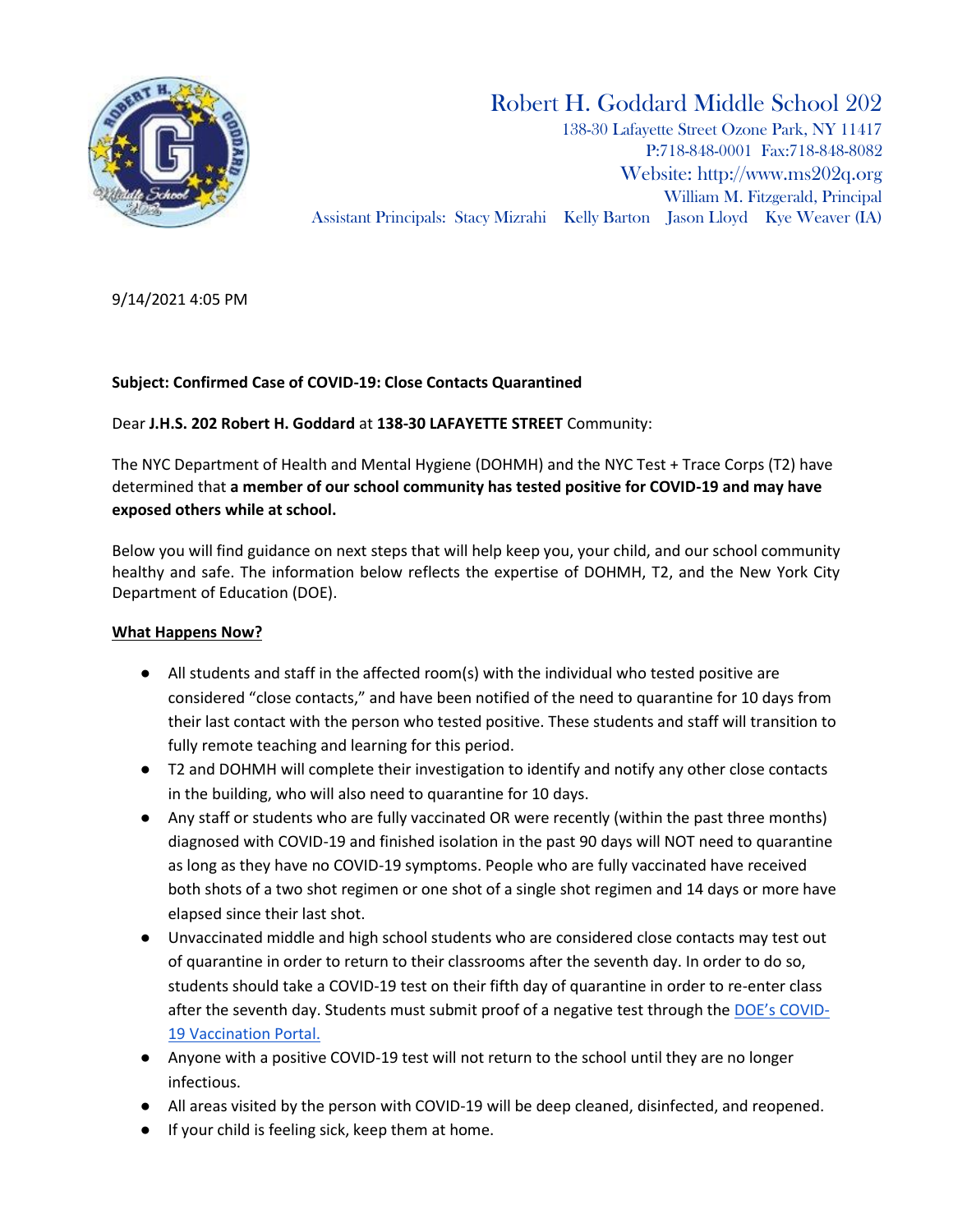

# Robert H. Goddard Middle School 202

138-30 Lafayette Street Ozone Park, NY 11417 P:718-848-0001 Fax:718-848-8082 Website: [http://www.ms202q.org](http://www.ms202q.org/) William M. Fitzgerald, Principal Assistant Principals: Stacy Mizrahi Kelly Barton Jason Lloyd Kye Weaver (IA)

9/14/2021 4:05 PM

## **Subject: Confirmed Case of COVID-19: Close Contacts Quarantined**

Dear **J.H.S. 202 Robert H. Goddard** at **138-30 LAFAYETTE STREET** Community:

The NYC Department of Health and Mental Hygiene (DOHMH) and the NYC Test + Trace Corps (T2) have determined that **a member of our school community has tested positive for COVID-19 and may have exposed others while at school.**

Below you will find guidance on next steps that will help keep you, your child, and our school community healthy and safe. The information below reflects the expertise of DOHMH, T2, and the New York City Department of Education (DOE).

## **What Happens Now?**

- All students and staff in the affected room(s) with the individual who tested positive are considered "close contacts," and have been notified of the need to quarantine for 10 days from their last contact with the person who tested positive. These students and staff will transition to fully remote teaching and learning for this period.
- T2 and DOHMH will complete their investigation to identify and notify any other close contacts in the building, who will also need to quarantine for 10 days.
- Any staff or students who are fully vaccinated OR were recently (within the past three months) diagnosed with COVID-19 and finished isolation in the past 90 days will NOT need to quarantine as long as they have no COVID-19 symptoms. People who are fully vaccinated have received both shots of a two shot regimen or one shot of a single shot regimen and 14 days or more have elapsed since their last shot.
- Unvaccinated middle and high school students who are considered close contacts may test out of quarantine in order to return to their classrooms after the seventh day. In order to do so, students should take a COVID-19 test on their fifth day of quarantine in order to re-enter class after the seventh day. Students must submit proof of a negative test through the [DOE's COVID](https://vaccine.schools.nyc/)-[19 Vaccination Portal.](https://vaccine.schools.nyc/)
- Anyone with a positive COVID-19 test will not return to the school until they are no longer infectious.
- All areas visited by the person with COVID-19 will be deep cleaned, disinfected, and reopened.
- If your child is feeling sick, keep them at home.